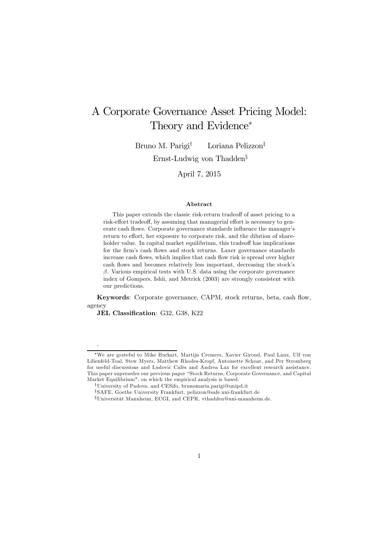# A Corporate Governance Asset Pricing Model: Theory and Evidence<sup>\*</sup>

Bruno M. Parigi† Loriana Pelizzon‡

Ernst-Ludwig von Thadden§

April 7, 2015

#### Abstract

This paper extends the classic risk-return tradeoff of asset pricing to a risk-effort tradeoff, by assuming that managerial effort is necessary to generate cash flows. Corporate governance standards influence the manager's return to effort, her exposure to corporate risk, and the dilution of shareholder value. In capital market equilibrium, this tradeoff has implications for the firm's cash flows and stock returns. Laxer governance standards increase cash flows, which implies that cash flow risk is spread over higher cash flows and becomes relatively less important, decreasing the stock's  $\beta$ . Various empirical tests with U.S. data using the corporate governance index of Gompers, Ishii, and Metrick (2003) are strongly consistent with our predictions.

Keywords: Corporate governance, CAPM, stock returns, beta, cash flow, agency

JEL Classification: G32, G38, K22

.

<sup>∗</sup>We are grateful to Mike Burkart, Martijn Cremers, Xavier Giroud, Paul Laux, Ulf von Lilienfeld-Toal, Stew Myers, Matthew Rhodes-Kropf, Antoinette Schoar, and Per Stromberg for useful discussions and Ludovic Calès and Andrea Lax for excellent research assistance. This paper supersedes our previous paper "Stock Returns, Corporate Governance, and Capital Market Equilibrium", on which the empirical analysis is based.

<sup>†</sup>University of Padova, and CESifo, brunomaria.parigi@unipd.it

<sup>‡</sup>SAFE, Goethe University Frankfurt, pelizzon@safe.uni-frankfurt.de

<sup>§</sup>Universität Mannheim, ECGI, and CEPR, vthadden@uni-mannheim.de.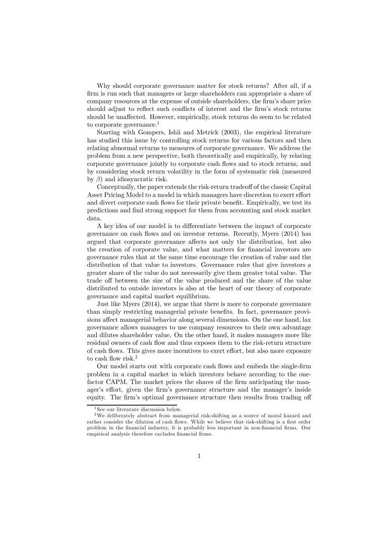Why should corporate governance matter for stock returns? After all, if a firm is run such that managers or large shareholders can appropriate a share of company resources at the expense of outside shareholders, the firm's share price should adjust to reflect such conflicts of interest and the firm's stock returns should be unaffected. However, empirically, stock returns do seem to be related to corporate governance.<sup>1</sup>

Starting with Gompers, Ishii and Metrick (2003), the empirical literature has studied this issue by controlling stock returns for various factors and then relating abnormal returns to measures of corporate governance. We address the problem from a new perspective, both theoretically and empirically, by relating corporate governance jointly to corporate cash flows and to stock returns, and by considering stock return volatility in the form of systematic risk (measured by  $\beta$  and idiosyncratic risk.

Conceptually, the paper extends the risk-return tradeoff of the classic Capital Asset Pricing Model to a model in which managers have discretion to exert effort and divert corporate cash flows for their private benefit. Empirically, we test its predictions and find strong support for them from accounting and stock market data.

A key idea of our model is to differentiate between the impact of corporate governance on cash flows and on investor returns. Recently, Myers (2014) has argued that corporate governance affects not only the distribution, but also the creation of corporate value, and what matters for financial investors are governance rules that at the same time encourage the creation of value and the distribution of that value to investors. Governance rules that give investors a greater share of the value do not necessarily give them greater total value. The trade off between the size of the value produced and the share of the value distributed to outside investors is also at the heart of our theory of corporate governance and capital market equilibrium.

Just like Myers (2014), we argue that there is more to corporate governance than simply restricting managerial private benefits. In fact, governance provisions affect managerial behavior along several dimensions. On the one hand, lax governance allows managers to use company resources to their own advantage and dilutes shareholder value. On the other hand, it makes managers more like residual owners of cash flow and thus exposes them to the risk-return structure of cash flows. This gives more incentives to exert effort, but also more exposure to cash flow risk.<sup>2</sup>

Our model starts out with corporate cash flows and embeds the single-firm problem in a capital market in which investors behave according to the onefactor CAPM. The market prices the shares of the firm anticipating the manager's effort, given the firm's governance structure and the manager's inside equity. The firm's optimal governance structure then results from trading off

<sup>&</sup>lt;sup>1</sup>See our literature discussion below.

<sup>2</sup>We deliberately abstract from managerial risk-shifting as a source of moral hazard and rather consider the dilution of cash flows. While we believe that risk-shifting is a first order problem in the financial industry, it is probably less important in non-financial firms. Our empirical analysis therefore excludes financial firms.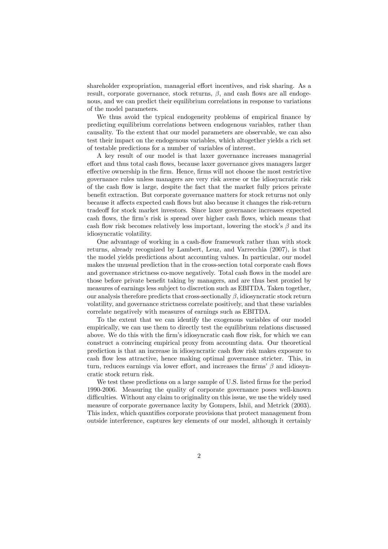shareholder expropriation, managerial effort incentives, and risk sharing. As a result, corporate governance, stock returns,  $\beta$ , and cash flows are all endogenous, and we can predict their equilibrium correlations in response to variations of the model parameters.

We thus avoid the typical endogeneity problems of empirical finance by predicting equilibrium correlations between endogenous variables, rather than causality. To the extent that our model parameters are observable, we can also test their impact on the endogenous variables, which altogether yields a rich set of testable predictions for a number of variables of interest.

A key result of our model is that laxer governance increases managerial effort and thus total cash flows, because laxer governance gives managers larger effective ownership in the firm. Hence, firms will not choose the most restrictive governance rules unless managers are very risk averse or the idiosyncratic risk of the cash flow is large, despite the fact that the market fully prices private benefit extraction. But corporate governance matters for stock returns not only because it affects expected cash flows but also because it changes the risk-return tradeoff for stock market investors. Since laxer governance increases expected cash flows, the firm's risk is spread over higher cash flows, which means that cash flow risk becomes relatively less important, lowering the stock's  $\beta$  and its idiosyncratic volatility.

One advantage of working in a cash-flow framework rather than with stock returns, already recognized by Lambert, Leuz, and Varrecchia (2007), is that the model yields predictions about accounting values. In particular, our model makes the unusual prediction that in the cross-section total corporate cash flows and governance strictness co-move negatively. Total cash flows in the model are those before private benefit taking by managers, and are thus best proxied by measures of earnings less subject to discretion such as EBITDA. Taken together, our analysis therefore predicts that cross-sectionally  $\beta$ , idiosyncratic stock return volatility, and governance strictness correlate positively, and that these variables correlate negatively with measures of earnings such as EBITDA.

To the extent that we can identify the exogenous variables of our model empirically, we can use them to directly test the equilibrium relations discussed above. We do this with the firm's idiosyncratic cash flow risk, for which we can construct a convincing empirical proxy from accounting data. Our theoretical prediction is that an increase in idiosyncratic cash flow risk makes exposure to cash flow less attractive, hence making optimal governance stricter. This, in turn, reduces earnings via lower effort, and increases the firms'  $\beta$  and idiosyncratic stock return risk.

We test these predictions on a large sample of U.S. listed firms for the period 1990-2006. Measuring the quality of corporate governance poses well-known difficulties. Without any claim to originality on this issue, we use the widely used measure of corporate governance laxity by Gompers, Ishii, and Metrick (2003). This index, which quantifies corporate provisions that protect management from outside interference, captures key elements of our model, although it certainly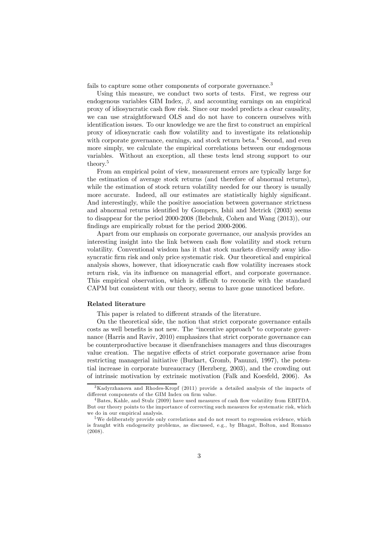fails to capture some other components of corporate governance.<sup>3</sup>

Using this measure, we conduct two sorts of tests. First, we regress our endogenous variables GIM Index,  $\beta$ , and accounting earnings on an empirical proxy of idiosyncratic cash flow risk. Since our model predicts a clear causality, we can use straightforward OLS and do not have to concern ourselves with identification issues. To our knowledge we are the first to construct an empirical proxy of idiosyncratic cash flow volatility and to investigate its relationship with corporate governance, earnings, and stock return beta.<sup>4</sup> Second, and even more simply, we calculate the empirical correlations between our endogenous variables. Without an exception, all these tests lend strong support to our theory.5

From an empirical point of view, measurement errors are typically large for the estimation of average stock returns (and therefore of abnormal returns), while the estimation of stock return volatility needed for our theory is usually more accurate. Indeed, all our estimates are statistically highly significant. And interestingly, while the positive association between governance strictness and abnormal returns identified by Gompers, Ishii and Metrick (2003) seems to disappear for the period 2000-2008 (Bebchuk, Cohen and Wang (2013)), our findings are empirically robust for the period 2000-2006.

Apart from our emphasis on corporate governance, our analysis provides an interesting insight into the link between cash flow volatility and stock return volatility. Conventional wisdom has it that stock markets diversify away idiosyncratic firm risk and only price systematic risk. Our theoretical and empirical analysis shows, however, that idiosyncratic cash flow volatility increases stock return risk, via its influence on managerial effort, and corporate governance. This empirical observation, which is difficult to reconcile with the standard CAPM but consistent with our theory, seems to have gone unnoticed before.

#### Related literature

This paper is related to different strands of the literature.

On the theoretical side, the notion that strict corporate governance entails costs as well benefits is not new. The "incentive approach" to corporate governance (Harris and Raviv, 2010) emphasizes that strict corporate governance can be counterproductive because it disenfranchises managers and thus discourages value creation. The negative effects of strict corporate governance arise from restricting managerial initiative (Burkart, Gromb, Panunzi, 1997), the potential increase in corporate bureaucracy (Herzberg, 2003), and the crowding out of intrinsic motivation by extrinsic motivation (Falk and Koesfeld, 2006). As

 $3Kadyrzhanova$  and Rhodes-Kropf (2011) provide a detailed analysis of the impacts of different components of the GIM Index on firm value.

<sup>4</sup> Bates, Kahle, and Stulz (2009) have used measures of cash flow volatility from EBITDA. But our theory points to the importance of correcting such measures for systematic risk, which we do in our empirical analysis.

<sup>&</sup>lt;sup>5</sup>We deliberately provide only correlations and do not resort to regression evidence, which is fraught with endogeneity problems, as discussed, e.g., by Bhagat, Bolton, and Romano  $(2008)$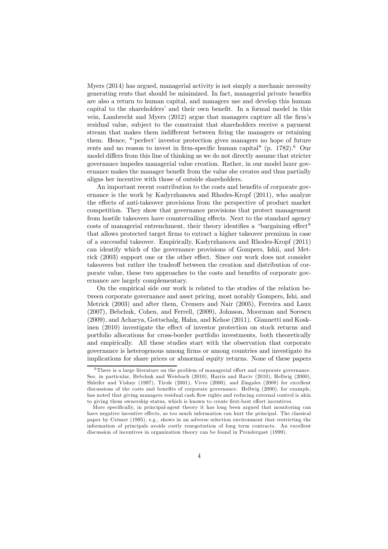Myers (2014) has argued, managerial activity is not simply a mechanic necessity generating rents that should be minimized. In fact, managerial private benefits are also a return to human capital, and managers use and develop this human capital to the shareholders' and their own benefit. In a formal model in this vein, Lambrecht and Myers (2012) argue that managers capture all the firm's residual value, subject to the constraint that shareholders receive a payment stream that makes them indifferent between firing the managers or retaining them. Hence, "'perfect' investor protection gives managers no hope of future rents and no reason to invest in firm-specific human capital" (p.  $1782$ ).<sup>6</sup> Our model differs from this line of thinking as we do not directly assume that stricter governance impedes managerial value creation. Rather, in our model laxer governance makes the manager benefit from the value she creates and thus partially aligns her incentive with those of outside shareholders.

An important recent contribution to the costs and benefits of corporate governance is the work by Kadyrzhanova and Rhodes-Kropf (2011), who analyze the effects of anti-takeover provisions from the perspective of product market competition. They show that governance provisions that protect management from hostile takeovers have countervailing effects. Next to the standard agency costs of managerial entrenchment, their theory identifies a "bargaining effect" that allows protected target firms to extract a higher takeover premium in case of a successful takeover. Empirically, Kadyrzhanova and Rhodes-Kropf (2011) can identify which of the governance provisions of Gompers, Ishii, and Metrick (2003) support one or the other effect. Since our work does not consider takeovers but rather the tradeoff between the creation and distribution of corporate value, these two approaches to the costs and benefits of corporate governance are largely complementary.

On the empirical side our work is related to the studies of the relation between corporate governance and asset pricing, most notably Gompers, Ishi, and Metrick (2003) and after them, Cremers and Nair (2005), Ferreira and Laux (2007), Bebchuk, Cohen, and Ferrell, (2009), Johnson, Moorman and Sorescu (2009), and Acharya, Gottschalg, Hahn, and Kehoe (2011). Giannetti and Koskinen (2010) investigate the effect of investor protection on stock returns and portfolio allocations for cross-border portfolio investments, both theoretically and empirically. All these studies start with the observation that corporate governance is heterogenous among firms or among countries and investigate its implications for share prices or abnormal equity returns. None of these papers

<sup>6</sup>There is a large literature on the problem of managerial effort and corporate governance. See, in particular, Bebchuk and Weisbach (2010), Harris and Raviv (2010), Hellwig (2000), Shleifer and Vishny (1997), Tirole (2001), Vives (2000), and Zingales (2008) for excellent discussions of the costs and benefits of corporate governance. Hellwig (2000), for example, has noted that giving managers residual cash flow rights and reducing external control is akin to giving them ownership status, which is known to create first-best effort incentives.

More specifically, in principal-agent theory it has long been argued that monitoring can have negative incentive effects, as too much information can hurt the principal. The classical paper by Crémer (1995), e.g., shows in an adverse selection environment that restricting the information of principals avoids costly renegotiation of long term contracts. An excellent discussion of incentives in organization theory can be found in Prendergast (1999).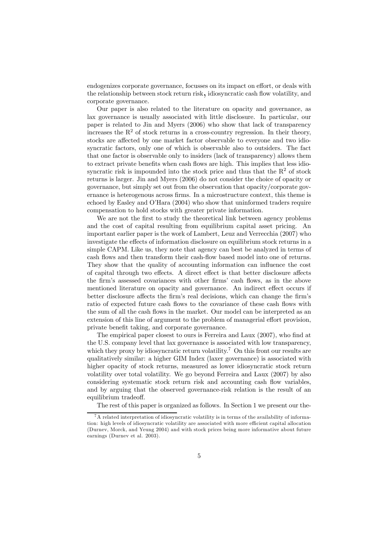endogenizes corporate governance, focusses on its impact on effort, or deals with the relationship between stock return risk, idiosyncratic cash flow volatility, and corporate governance.

Our paper is also related to the literature on opacity and governance, as lax governance is usually associated with little disclosure. In particular, our paper is related to Jin and Myers (2006) who show that lack of transparency increases the  $R<sup>2</sup>$  of stock returns in a cross-country regression. In their theory, stocks are affected by one market factor observable to everyone and two idiosyncratic factors, only one of which is observable also to outsiders. The fact that one factor is observable only to insiders (lack of transparency) allows them to extract private benefits when cash flows are high. This implies that less idiosyncratic risk is impounded into the stock price and thus that the  $R<sup>2</sup>$  of stock returns is larger. Jin and Myers (2006) do not consider the choice of opacity or governance, but simply set out from the observation that opacity/corporate governance is heterogenous across firms. In a microstructure context, this theme is echoed by Easley and O'Hara (2004) who show that uninformed traders require compensation to hold stocks with greater private information.

We are not the first to study the theoretical link between agency problems and the cost of capital resulting from equilibrium capital asset pricing. An important earlier paper is the work of Lambert, Leuz and Verrecchia (2007) who investigate the effects of information disclosure on equilibrium stock returns in a simple CAPM. Like us, they note that agency can best be analyzed in terms of cash flows and then transform their cash-flow based model into one of returns. They show that the quality of accounting information can influence the cost of capital through two effects. A direct effect is that better disclosure affects the firm's assessed covariances with other firms' cash flows, as in the above mentioned literature on opacity and governance. An indirect effect occurs if better disclosure affects the firm's real decisions, which can change the firm's ratio of expected future cash flows to the covariance of these cash flows with the sum of all the cash flows in the market. Our model can be interpreted as an extension of this line of argument to the problem of managerial effort provision, private benefit taking, and corporate governance.

The empirical paper closest to ours is Ferreira and Laux (2007), who find at the U.S. company level that lax governance is associated with low transparency, which they proxy by idiosyncratic return volatility.<sup>7</sup> On this front our results are qualitatively similar: a higher GIM Index (laxer governance) is associated with higher opacity of stock returns, measured as lower idiosyncratic stock return volatility over total volatility. We go beyond Ferreira and Laux (2007) by also considering systematic stock return risk and accounting cash flow variables, and by arguing that the observed governance-risk relation is the result of an equilibrium tradeoff.

The rest of this paper is organized as follows. In Section 1 we present our the-

<sup>7</sup>A related interpretation of idiosyncratic volatility is in terms of the availability of information: high levels of idiosyncratic volatility are associated with more efficient capital allocation (Durnev, Morck, and Yeung 2004) and with stock prices being more informative about future earnings (Durnev et al. 2003).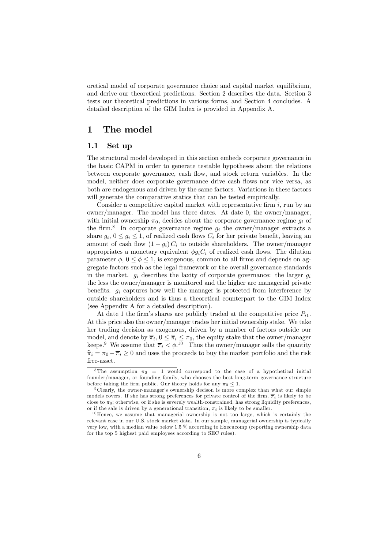oretical model of corporate governance choice and capital market equilibrium, and derive our theoretical predictions. Section 2 describes the data. Section 3 tests our theoretical predictions in various forms, and Section 4 concludes. A detailed description of the GIM Index is provided in Appendix A.

# 1 The model

### 1.1 Set up

The structural model developed in this section embeds corporate governance in the basic CAPM in order to generate testable hypotheses about the relations between corporate governance, cash flow, and stock return variables. In the model, neither does corporate governance drive cash flows nor vice versa, as both are endogenous and driven by the same factors. Variations in these factors will generate the comparative statics that can be tested empirically.

Consider a competitive capital market with representative firm  $i$ , run by an owner/manager. The model has three dates. At date 0, the owner/manager, with initial ownership  $\pi_0$ , decides about the corporate governance regime  $q_i$  of the firm.<sup>8</sup> In corporate governance regime  $q_i$  the owner/manager extracts a share  $g_i$ ,  $0 \le g_i \le 1$ , of realized cash flows  $C_i$  for her private benefit, leaving an amount of cash flow  $(1 - g_i) C_i$  to outside shareholders. The owner/manager appropriates a monetary equivalent  $\phi g_i C_i$  of realized cash flows. The dilution parameter  $\phi$ ,  $0 \le \phi \le 1$ , is exogenous, common to all firms and depends on aggregate factors such as the legal framework or the overall governance standards in the market.  $q_i$  describes the laxity of corporate governance: the larger  $q_i$ the less the owner/manager is monitored and the higher are managerial private benefits.  $g_i$  captures how well the manager is protected from interference by outside shareholders and is thus a theoretical counterpart to the GIM Index (see Appendix A for a detailed description).

At date 1 the firm's shares are publicly traded at the competitive price  $P_{i1}$ . At this price also the owner/manager trades her initial ownership stake. We take her trading decision as exogenous, driven by a number of factors outside our model, and denote by  $\overline{\pi}_i$ ,  $0 \leq \overline{\pi}_i \leq \pi_0$ , the equity stake that the owner/manager keeps.<sup>9</sup> We assume that  $\overline{\pi}_i < \phi$ .<sup>10</sup> Thus the owner/manager sells the quantity  $\hat{\pi}_i = \pi_0 - \overline{\pi}_i \geq 0$  and uses the proceeds to buy the market portfolio and the risk free-asset.

<sup>&</sup>lt;sup>8</sup>The assumption  $\pi_0 = 1$  would correspond to the case of a hypothetical initial founder/manager, or founding family, who chooses the best long-term governance structure before taking the firm public. Our theory holds for any  $\pi_0 \leq 1$ .<br><sup>9</sup>Clearly, the owner-manager's ownership decison is more complex than what our simple

models covers. If she has strong preferences for private control of the firm,  $\overline{\pi}_i$  is likely to be close to  $\pi_0$ ; otherwise, or if she is severely wealth-constrained, has strong liquidity preferences, or if the sale is driven by a generational transition,  $\overline{\pi}_i$  is likely to be smaller.

 $10$  Hence, we assume that managerial ownership is not too large, which is certainly the relevant case in our U.S. stock market data. In our sample, managerial ownership is typically very low, with a median value below 1.5 % according to Execucomp (reporting ownership data for the top 5 highest paid employees according to SEC rules).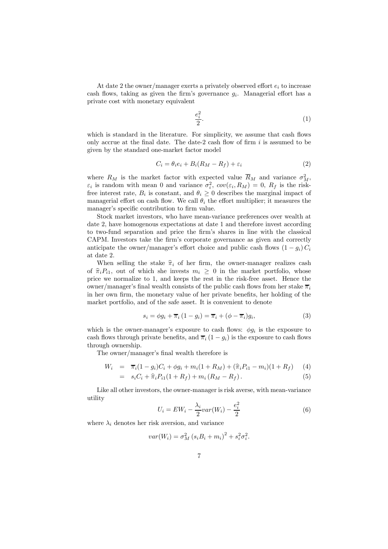At date 2 the owner/manager exerts a privately observed effort  $e_i$  to increase cash flows, taking as given the firm's governance  $g_i$ . Managerial effort has a private cost with monetary equivalent

$$
\frac{e_i^2}{2}.\tag{1}
$$

which is standard in the literature. For simplicity, we assume that cash flows only accrue at the final date. The date-2 cash flow of firm  $i$  is assumed to be given by the standard one-market factor model

$$
C_i = \theta_i e_i + B_i (R_M - R_f) + \varepsilon_i \tag{2}
$$

where  $R_M$  is the market factor with expected value  $\overline{R}_M$  and variance  $\sigma_M^2$ ,  $\varepsilon_i$  is random with mean 0 and variance  $\sigma_i^2$ ,  $cov(\varepsilon_i, R_M) = 0$ ,  $R_f$  is the riskfree interest rate,  $B_i$  is constant, and  $\theta_i \geq 0$  describes the marginal impact of managerial effort on cash flow. We call  $\theta_i$  the effort multiplier; it measures the manager's specific contribution to firm value.

Stock market investors, who have mean-variance preferences over wealth at date 2, have homogenous expectations at date 1 and therefore invest according to two-fund separation and price the firm's shares in line with the classical CAPM. Investors take the firm's corporate governance as given and correctly anticipate the owner/manager's effort choice and public cash flows  $(1 - g_i) C_i$ at date 2.

When selling the stake  $\hat{\pi}_i$  of her firm, the owner-manager realizes cash of  $\hat{\pi}_i P_{i1}$ , out of which she invests  $m_i \geq 0$  in the market portfolio, whose price we normalize to 1, and keeps the rest in the risk-free asset. Hence the owner/manager's final wealth consists of the public cash flows from her stake  $\overline{\pi}_i$ in her own firm, the monetary value of her private benefits, her holding of the market portfolio, and of the safe asset. It is convenient to denote

$$
s_i = \phi g_i + \overline{\pi}_i (1 - g_i) = \overline{\pi}_i + (\phi - \overline{\pi}_i) g_i,
$$
\n(3)

which is the owner-manager's exposure to cash flows:  $\phi g_i$  is the exposure to cash flows through private benefits, and  $\overline{\pi}_i (1 - g_i)$  is the exposure to cash flows through ownership.

The owner/manager's final wealth therefore is

$$
W_i = \overline{\pi}_i (1 - g_i) C_i + \phi g_i + m_i (1 + R_M) + (\hat{\pi}_i P_{i1} - m_i) (1 + R_f)
$$
 (4)

$$
= s_i C_i + \hat{\pi}_i P_{i1} (1 + R_f) + m_i (R_M - R_f).
$$
 (5)

Like all other investors, the owner-manager is risk averse, with mean-variance utility

$$
U_i = EW_i - \frac{\lambda_i}{2}var(W_i) - \frac{e_i^2}{2}
$$
\n
$$
(6)
$$

where  $\lambda_i$  denotes her risk aversion, and variance

$$
var(W_i) = \sigma_M^2 (s_i B_i + m_i)^2 + s_i^2 \sigma_i^2.
$$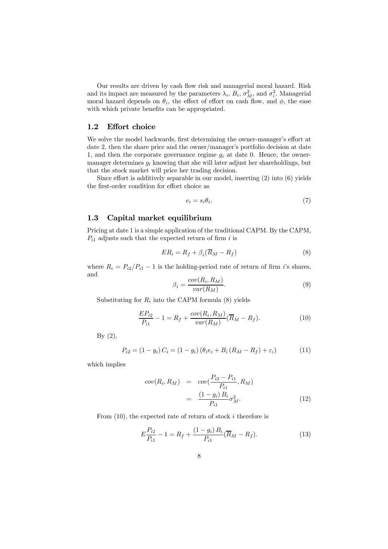Our results are driven by cash flow risk and managerial moral hazard. Risk and its impact are measured by the parameters  $\lambda_i$ ,  $B_i$ ,  $\sigma_M^2$ , and  $\sigma_i^2$ . Managerial moral hazard depends on  $\theta_i$ , the effect of effort on cash flow, and  $\phi$ , the ease with which private benefits can be appropriated.

## 1.2 Effort choice

We solve the model backwards, first determining the owner-manager's effort at date 2, then the share price and the owner/manager's portfolio decision at date 1, and then the corporate governance regime  $q_i$  at date 0. Hence, the ownermanager determines  $q_i$  knowing that she will later adjust her shareholdings, but that the stock market will price her trading decision.

Since effort is additively separable in our model, inserting (2) into (6) yields the first-order condition for effort choice as

$$
e_i = s_i \theta_i. \tag{7}
$$

# 1.3 Capital market equilibrium

Pricing at date 1 is a simple application of the traditional CAPM. By the CAPM,  $P_{i1}$  adjusts such that the expected return of firm *i* is

$$
ER_i = R_f + \beta_i(\overline{R}_M - R_f) \tag{8}
$$

where  $R_i = P_{i2}/P_{i1} - 1$  is the holding-period rate of return of firm i's shares, and

$$
\beta_i = \frac{cov(R_i, R_M)}{var(R_M)}.\tag{9}
$$

Substituting for  $R_i$  into the CAPM formula (8) yields

$$
\frac{EP_{i2}}{P_{i1}} - 1 = R_f + \frac{cov(R_i, R_M)}{var(R_M)}(\overline{R}_M - R_f).
$$
 (10)

By  $(2)$ ,

$$
P_{i2} = (1 - g_i) C_i = (1 - g_i) (\theta_i e_i + B_i (R_M - R_f) + \varepsilon_i)
$$
 (11)

which implies

$$
cov(R_i, R_M) = cov(\frac{P_{i2} - P_{i1}}{P_{i1}}, R_M)
$$
  
= 
$$
\frac{(1 - g_i) B_i}{P_{i1}} \sigma_M^2.
$$
 (12)

From  $(10)$ , the expected rate of return of stock  $i$  therefore is

$$
E\frac{P_{i2}}{P_{i1}} - 1 = R_f + \frac{(1 - g_i)B_i}{P_{i1}}(\overline{R}_M - R_f).
$$
 (13)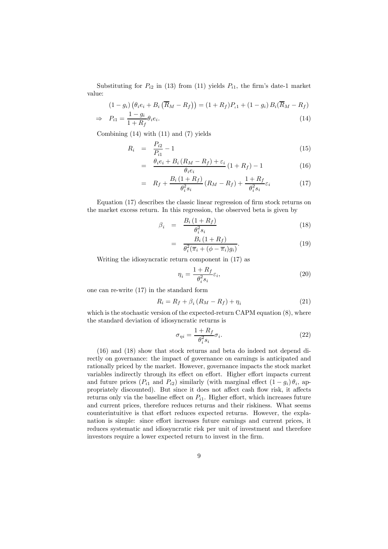Substituting for  $P_{i2}$  in (13) from (11) yields  $P_{i1}$ , the firm's date-1 market value:

$$
(1 - g_i) (\theta_i e_i + B_i (\overline{R}_M - R_f)) = (1 + R_f) P_{i1} + (1 - g_i) B_i (\overline{R}_M - R_f)
$$

$$
\Rightarrow \quad P_{i1} = \frac{1 - g_i}{1 + R_f} \theta_i e_i. \tag{14}
$$

Combining (14) with (11) and (7) yields

$$
R_i = \frac{P_{i2}}{P_{i1}} - 1 \tag{15}
$$

$$
= \frac{\theta_i e_i + B_i (R_M - R_f) + \varepsilon_i}{\theta_i e_i} (1 + R_f) - 1 \tag{16}
$$

$$
= R_f + \frac{B_i (1 + R_f)}{\theta_i^2 s_i} (R_M - R_f) + \frac{1 + R_f}{\theta_i^2 s_i} \varepsilon_i
$$
 (17)

Equation (17) describes the classic linear regression of firm stock returns on the market excess return. In this regression, the observed beta is given by

$$
\beta_i = \frac{B_i (1 + R_f)}{\theta_i^2 s_i} \tag{18}
$$

$$
= \frac{B_i\left(1 + R_f\right)}{\theta_i^2 \left(\overline{\pi}_i + \left(\phi - \overline{\pi}_i\right)g_i\right)}.\tag{19}
$$

Writing the idiosyncratic return component in (17) as

$$
\eta_i = \frac{1 + R_f}{\theta_i^2 s_i} \varepsilon_i,\tag{20}
$$

one can re-write (17) in the standard form

$$
R_i = R_f + \beta_i (R_M - R_f) + \eta_i \tag{21}
$$

which is the stochastic version of the expected-return CAPM equation  $(8)$ , where the standard deviation of idiosyncratic returns is

$$
\sigma_{\eta i} = \frac{1 + R_f}{\theta_i^2 s_i} \sigma_i.
$$
\n(22)

(16) and (18) show that stock returns and beta do indeed not depend directly on governance: the impact of governance on earnings is anticipated and rationally priced by the market. However, governance impacts the stock market variables indirectly through its effect on effort. Higher effort impacts current and future prices ( $P_{i1}$  and  $P_{i2}$ ) similarly (with marginal effect  $(1 - g_i) \theta_i$ , appropriately discounted). But since it does not affect cash flow risk, it affects returns only via the baseline effect on  $P_{i1}$ . Higher effort, which increases future and current prices, therefore reduces returns and their riskiness. What seems counterintuitive is that effort reduces expected returns. However, the explanation is simple: since effort increases future earnings and current prices, it reduces systematic and idiosyncratic risk per unit of investment and therefore investors require a lower expected return to invest in the firm.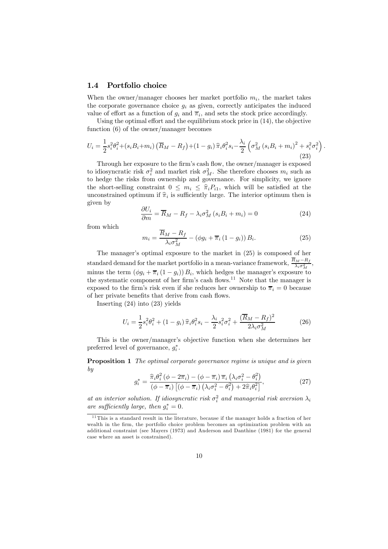### 1.4 Portfolio choice

When the owner/manager chooses her market portfolio  $m_i$ , the market takes the corporate governance choice  $g_i$  as given, correctly anticipates the induced value of effort as a function of  $q_i$  and  $\overline{\pi}_i$ , and sets the stock price accordingly.

Using the optimal effort and the equilibrium stock price in (14), the objective function (6) of the owner/manager becomes

$$
U_{i} = \frac{1}{2} s_{i}^{2} \theta_{i}^{2} + (s_{i} B_{i} + m_{i}) \left( \overline{R}_{M} - R_{f} \right) + (1 - g_{i}) \, \widehat{\pi}_{i} \theta_{i}^{2} s_{i} - \frac{\lambda_{i}}{2} \left( \sigma_{M}^{2} \left( s_{i} B_{i} + m_{i} \right)^{2} + s_{i}^{2} \sigma_{i}^{2} \right). \tag{23}
$$

Through her exposure to the firm's cash flow, the owner/manager is exposed to idiosyncratic risk  $\sigma_i^2$  and market risk  $\sigma_M^2$ . She therefore chooses  $m_i$  such as to hedge the risks from ownership and governance. For simplicity, we ignore the short-selling constraint  $0 \leq m_i \leq \hat{\pi}_i P_{i1}$ , which will be satisfied at the unconstrained optimum if  $\hat{\pi}_i$  is sufficiently large. The interior optimum then is given by

$$
\frac{\partial U_i}{\partial m} = \overline{R}_M - R_f - \lambda_i \sigma_M^2 (s_i B_i + m_i) = 0 \tag{24}
$$

from which

$$
m_i = \frac{\overline{R}_M - R_f}{\lambda_i \sigma_M^2} - (\phi g_i + \overline{\pi}_i (1 - g_i)) B_i.
$$
 (25)

The manager's optimal exposure to the market in (25) is composed of her standard demand for the market portfolio in a mean-variance framework,  $\frac{R_M - R_f}{\lambda_i \sigma_M^2}$ , minus the term  $(\phi g_i + \overline{\pi}_i (1 - g_i)) B_i$ , which hedges the manager's exposure to the systematic component of her firm's cash flows.<sup>11</sup> Note that the manager is exposed to the firm's risk even if she reduces her ownership to  $\overline{\pi}_i = 0$  because of her private benefits that derive from cash flows.

Inserting (24) into (23) yields

$$
U_i = \frac{1}{2} s_i^2 \theta_i^2 + (1 - g_i) \hat{\pi}_i \theta_i^2 s_i - \frac{\lambda_i}{2} s_i^2 \sigma_i^2 + \frac{(\overline{R}_M - R_f)^2}{2 \lambda_i \sigma_M^2}
$$
(26)

This is the owner/manager's objective function when she determines her preferred level of governance,  $g_i^*$ .

**Proposition 1** The optimal corporate governance regime is unique and is given by

$$
g_i^* = \frac{\widehat{\pi}_i \theta_i^2 (\phi - 2\overline{\pi}_i) - (\phi - \overline{\pi}_i) \overline{\pi}_i (\lambda_i \sigma_i^2 - \theta_i^2)}{(\phi - \overline{\pi}_i) \left[ (\phi - \overline{\pi}_i) (\lambda_i \sigma_i^2 - \theta_i^2) + 2\widehat{\pi}_i \theta_i^2 \right]},
$$
\n(27)

at an interior solution. If idiosyncratic risk  $\sigma_i^2$  and managerial risk aversion  $\lambda_i$ are sufficiently large, then  $g_i^* = 0$ .

 $11$ This is a standard result in the literature, because if the manager holds a fraction of her wealth in the firm, the portfolio choice problem becomes an optimization problem with an additional constraint (see Mayers (1973) and Anderson and Danthine (1981) for the general case where an asset is constrained).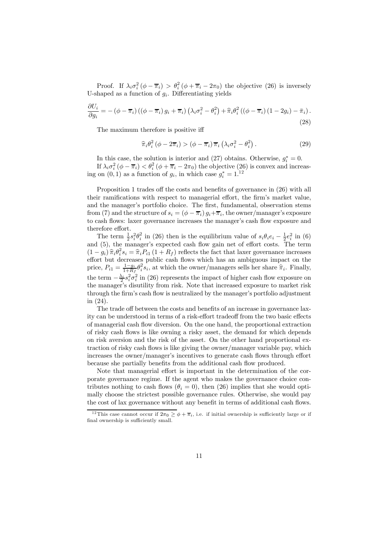Proof. If  $\lambda_i \sigma_i^2 (\phi - \overline{\pi}_i) > \theta_i^2 (\phi + \overline{\pi}_i - 2\pi_0)$  the objective (26) is inversely U-shaped as a function of  $g_i$ . Differentiating yields

$$
\frac{\partial U_i}{\partial g_i} = -(\phi - \overline{\pi}_i) \left( (\phi - \overline{\pi}_i) g_i + \overline{\pi}_i \right) \left( \lambda_i \sigma_i^2 - \theta_i^2 \right) + \widehat{\pi}_i \theta_i^2 \left( (\phi - \overline{\pi}_i) \left( 1 - 2g_i \right) - \overline{\pi}_i \right).
$$
\n(28)

The maximum therefore is positive iff

$$
\widehat{\pi}_i \theta_i^2 \left( \phi - 2\overline{\pi}_i \right) > \left( \phi - \overline{\pi}_i \right) \overline{\pi}_i \left( \lambda_i \sigma_i^2 - \theta_i^2 \right). \tag{29}
$$

In this case, the solution is interior and (27) obtains. Otherwise,  $g_i^* = 0$ .

If  $\lambda_i \sigma_i^2 (\phi - \overline{\pi}_i) < \theta_i^2 (\phi + \overline{\pi}_i - 2\pi_0)$  the objective (26) is convex and increasing on  $(0, 1)$  as a function of  $g_i$ , in which case  $g_i^* = 1$ .<sup>12</sup>

Proposition 1 trades off the costs and benefits of governance in (26) with all their ramifications with respect to managerial effort, the firm's market value, and the manager's portfolio choice. The first, fundamental, observation stems from (7) and the structure of  $s_i = (\phi - \overline{\pi}_i) g_i + \overline{\pi}_i$ , the owner/manager's exposure to cash flows: laxer governance increases the manager's cash flow exposure and therefore effort.

The term  $\frac{1}{2} s_i^2 \theta_i^2$  in (26) then is the equilibrium value of  $s_i \theta_i e_i - \frac{1}{2} e_i^2$  in (6) and (5), the manager's expected cash flow gain net of effort costs. The term  $(1 - g_i) \hat{\pi}_i \theta_i^2 s_i = \hat{\pi}_i P_{i1} (1 + R_f)$  reflects the fact that laxer governance increases effort but decreases public cash flows which has an ambiguous impact on the price,  $P_{i1} = \frac{1-g_i}{1+R_f} \theta_i^2 s_i$ , at which the owner/managers sells her share  $\hat{\pi}_i$ . Finally, the term  $-\frac{\lambda_i}{2} s_i^2 \sigma_i^2$  in (26) represents the impact of higher cash flow exposure on the manager's disutility from risk. Note that increased exposure to market risk through the firm's cash flow is neutralized by the manager's portfolio adjustment in (24).

The trade off between the costs and benefits of an increase in governance laxity can be understood in terms of a risk-effort tradeoff from the two basic effects of managerial cash flow diversion. On the one hand, the proportional extraction of risky cash flows is like owning a risky asset, the demand for which depends on risk aversion and the risk of the asset. On the other hand proportional extraction of risky cash flows is like giving the owner/manager variable pay, which increases the owner/manager's incentives to generate cash flows through effort because she partially benefits from the additional cash flow produced.

Note that managerial effort is important in the determination of the corporate governance regime. If the agent who makes the governance choice contributes nothing to cash flows ( $\theta_i = 0$ ), then (26) implies that she would optimally choose the strictest possible governance rules. Otherwise, she would pay the cost of lax governance without any benefit in terms of additional cash flows.

<sup>&</sup>lt;sup>12</sup>This case cannot occur if  $2\pi_0 \geq \phi + \overline{\pi}_i$ , i.e. if initial ownership is sufficiently large or if final ownership is sufficiently small.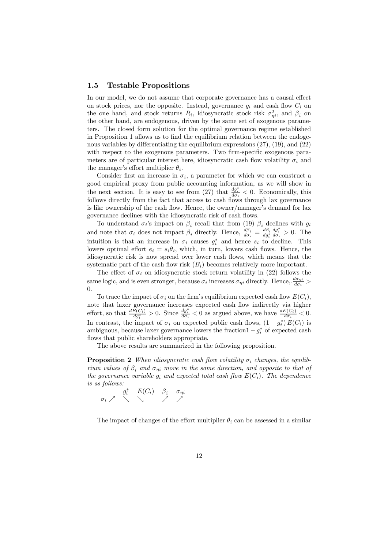### 1.5 Testable Propositions

In our model, we do not assume that corporate governance has a causal effect on stock prices, nor the opposite. Instead, governance  $g_i$  and cash flow  $C_i$  on the one hand, and stock returns  $R_i$ , idiosyncratic stock risk  $\sigma_{\eta i}^2$ , and  $\beta_i$  on the other hand, are endogenous, driven by the same set of exogenous parameters. The closed form solution for the optimal governance regime established in Proposition 1 allows us to find the equilibrium relation between the endogenous variables by differentiating the equilibrium expressions (27), (19), and (22) with respect to the exogenous parameters. Two firm-specific exogenous parameters are of particular interest here, idiosyncratic cash flow volatility  $\sigma_i$  and the manager's effort multiplier  $\theta_i$ .

Consider first an increase in  $\sigma_i$ , a parameter for which we can construct a good empirical proxy from public accounting information, as we will show in the next section. It is easy to see from (27) that  $\frac{dg_i^*}{d\sigma_i} < 0$ . Economically, this follows directly from the fact that access to cash flows through lax governance is like ownership of the cash flow. Hence, the owner/manager's demand for lax governance declines with the idiosyncratic risk of cash flows.

To understand  $\sigma_i$ 's impact on  $\beta_i$  recall that from (19)  $\beta_i$  declines with  $g_i$ and note that  $\sigma_i$  does not impact  $\beta_i$  directly. Hence,  $\frac{d\beta_i}{d\sigma_i} = \frac{d\beta_i}{dg_i^*}$  $\frac{dg_i^*}{d\sigma_i} > 0$ . The intuition is that an increase in  $\sigma_i$  causes  $g_i^*$  and hence  $s_i$  to decline. This lowers optimal effort  $e_i = s_i \theta_i$ , which, in turn, lowers cash flows. Hence, the idiosyncratic risk is now spread over lower cash flows, which means that the systematic part of the cash flow risk  $(B_i)$  becomes relatively more important.

The effect of  $\sigma_i$  on idiosyncratic stock return volatility in (22) follows the same logic, and is even stronger, because  $\sigma_i$  increases  $\sigma_{\eta i}$  directly. Hence,  $\frac{d\sigma_{\eta i}}{d\sigma_i}$  > 0.

To trace the impact of  $\sigma_i$  on the firm's equilibrium expected cash flow  $E(C_i)$ , note that laxer governance increases expected cash flow indirectly via higher effort, so that  $\frac{dE(C_i)}{dg_i^*} > 0$ . Since  $\frac{dg_i^*}{d\sigma_i} < 0$  as argued above, we have  $\frac{dE(C_i)}{d\sigma_i} < 0$ . In contrast, the impact of  $\sigma_i$  on expected public cash flows,  $(1 - g_i^*) E(C_i)$  is ambiguous, because laxer governance lowers the fraction  $1 - g_i^*$  of expected cash flows that public shareholders appropriate.

The above results are summarized in the following proposition.

**Proposition 2** When idiosyncratic cash flow volatility  $\sigma_i$  changes, the equilibrium values of  $\beta_i$  and  $\sigma_{ni}$  move in the same direction, and opposite to that of the governance variable  $g_i$  and expected total cash flow  $E(C_i)$ . The dependence is as follows:

$$
\sigma_i \nearrow \searrow \searrow \searrow \searrow \nearrow \nearrow \nearrow
$$

The impact of changes of the effort multiplier  $\theta_i$  can be assessed in a similar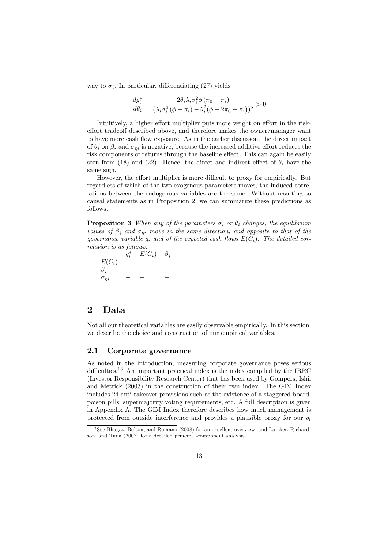way to  $\sigma_i$ . In particular, differentiating (27) yields

$$
\frac{dg_i^*}{d\theta_i} = \frac{2\theta_i\lambda_i\sigma_i^2\phi\left(\pi_0 - \overline{\pi}_i\right)}{\left(\lambda_i\sigma_i^2\left(\phi - \overline{\pi}_i\right) - \theta_i^2\left(\phi - 2\pi_0 + \overline{\pi}_i\right)\right)^2} > 0
$$

Intuitively, a higher effort multiplier puts more weight on effort in the riskeffort tradeoff described above, and therefore makes the owner/manager want to have more cash flow exposure. As in the earlier discusson, the direct impact of  $\theta_i$  on  $\beta_i$  and  $\sigma_{ni}$  is negative, because the increased additive effort reduces the risk components of returns through the baseline effect. This can again be easily seen from (18) and (22). Hence, the direct and indirect effect of  $\theta_i$  have the same sign.

However, the effort multiplier is more difficult to proxy for empirically. But regardless of which of the two exogenous parameters moves, the induced correlations between the endogenous variables are the same. Without resorting to causal statements as in Proposition 2, we can summarize these predictions as follows.

**Proposition 3** When any of the parameters  $\sigma_i$  or  $\theta_i$  changes, the equilibrium values of  $\beta_i$  and  $\sigma_{\eta i}$  move in the same direction, and opposite to that of the governance variable  $g_i$  and of the expected cash flows  $E(C_i)$ . The detailed correlation is as follows:

$$
E(C_i) \quad \begin{array}{ccc} & g_i^* & E(C_i) & \beta_i \\ \beta_i & - & - \\ \sigma_{\eta i} & - & - \\ \end{array}
$$

# 2 Data

Not all our theoretical variables are easily observable empirically. In this section, we describe the choice and construction of our empirical variables.

#### 2.1 Corporate governance

As noted in the introduction, measuring corporate governance poses serious difficulties.<sup>13</sup> An important practical index is the index compiled by the IRRC (Investor Responsibility Research Center) that has been used by Gompers, Ishii and Metrick (2003) in the construction of their own index. The GIM Index includes 24 anti-takeover provisions such as the existence of a staggered board, poison pills, supermajority voting requirements, etc. A full description is given in Appendix A. The GIM Index therefore describes how much management is protected from outside interference and provides a plausible proxy for our  $g_i$ 

<sup>&</sup>lt;sup>13</sup> See Bhagat, Bolton, and Romano (2008) for an excellent overview, and Larcker, Richardson, and Tuna (2007) for a detailed principal-component analysis.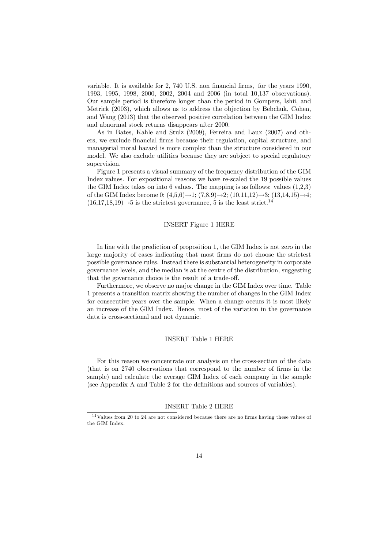variable. It is available for 2, 740 U.S. non financial firms, for the years 1990, 1993, 1995, 1998, 2000, 2002, 2004 and 2006 (in total 10,137 observations). Our sample period is therefore longer than the period in Gompers, Ishii, and Metrick (2003), which allows us to address the objection by Bebchuk, Cohen, and Wang (2013) that the observed positive correlation between the GIM Index and abnormal stock returns disappears after 2000.

As in Bates, Kahle and Stulz (2009), Ferreira and Laux (2007) and others, we exclude financial firms because their regulation, capital structure, and managerial moral hazard is more complex than the structure considered in our model. We also exclude utilities because they are subject to special regulatory supervision.

Figure 1 presents a visual summary of the frequency distribution of the GIM Index values. For expositional reasons we have re-scaled the 19 possible values the GIM Index takes on into 6 values. The mapping is as follows: values (1,2,3) of the GIM Index become 0;  $(4,5,6) \rightarrow 1$ ;  $(7,8,9) \rightarrow 2$ ;  $(10,11,12) \rightarrow 3$ ;  $(13,14,15) \rightarrow 4$ ;  $(16,17,18,19) \rightarrow 5$  is the strictest governance, 5 is the least strict.<sup>14</sup>

#### INSERT Figure 1 HERE

In line with the prediction of proposition 1, the GIM Index is not zero in the large majority of cases indicating that most firms do not choose the strictest possible governance rules. Instead there is substantial heterogeneity in corporate governance levels, and the median is at the centre of the distribution, suggesting that the governance choice is the result of a trade-off.

Furthermore, we observe no major change in the GIM Index over time. Table 1 presents a transition matrix showing the number of changes in the GIM Index for consecutive years over the sample. When a change occurs it is most likely an increase of the GIM Index. Hence, most of the variation in the governance data is cross-sectional and not dynamic.

#### INSERT Table 1 HERE

For this reason we concentrate our analysis on the cross-section of the data (that is on 2740 observations that correspond to the number of firms in the sample) and calculate the average GIM Index of each company in the sample (see Appendix A and Table 2 for the definitions and sources of variables).

#### INSERT Table 2 HERE

<sup>&</sup>lt;sup>14</sup> Values from 20 to 24 are not considered because there are no firms having these values of the GIM Index.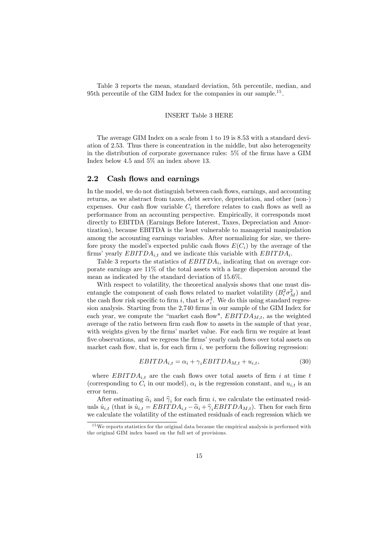Table 3 reports the mean, standard deviation, 5th percentile, median, and 95th percentile of the GIM Index for the companies in our sample.<sup>15</sup>.

#### INSERT Table 3 HERE

The average GIM Index on a scale from 1 to 19 is 8.53 with a standard deviation of 2.53. Thus there is concentration in the middle, but also heterogeneity in the distribution of corporate governance rules: 5% of the firms have a GIM Index below 4.5 and 5% an index above 13.

### 2.2 Cash flows and earnings

In the model, we do not distinguish between cash flows, earnings, and accounting returns, as we abstract from taxes, debt service, depreciation, and other (non-) expenses. Our cash flow variable  $C_i$  therefore relates to cash flows as well as performance from an accounting perspective. Empirically, it corresponds most directly to EBITDA (Earnings Before Interest, Taxes, Depreciation and Amortization), because EBITDA is the least vulnerable to managerial manipulation among the accounting earnings variables. After normalizing for size, we therefore proxy the model's expected public cash flows  $E(C_i)$  by the average of the firms' yearly  $EBITDA_{i,t}$  and we indicate this variable with  $EBITDA_i$ .

Table 3 reports the statistics of  $EBITDA_i$ , indicating that on average corporate earnings are 11% of the total assets with a large dispersion around the mean as indicated by the standard deviation of 15.6%.

With respect to volatility, the theoretical analysis shows that one must disentangle the component of cash flows related to market volatility  $(B_i^2 \sigma_M^2)$  and the cash flow risk specific to firm i, that is  $\sigma_i^2$ . We do this using standard regression analysis. Starting from the 2,740 firms in our sample of the GIM Index for each year, we compute the "market cash flow",  $EBITDA_{M,t}$ , as the weighted average of the ratio between firm cash flow to assets in the sample of that year, with weights given by the firms' market value. For each firm we require at least five observations, and we regress the firms' yearly cash flows over total assets on market cash flow, that is, for each firm  $i$ , we perform the following regression:

$$
EBITDA_{i,t} = \alpha_i + \gamma_i EBITDA_{M,t} + u_{i,t},\tag{30}
$$

where  $EBITDA_{i,t}$  are the cash flows over total assets of firm i at time t (corresponding to  $C_i$  in our model),  $\alpha_i$  is the regression constant, and  $u_{i,t}$  is an error term.

After estimating  $\hat{\alpha}_i$  and  $\hat{\gamma}_i$  for each firm *i*, we calculate the estimated residuals  $\hat{u}_{i,t}$  (that is  $\hat{u}_{i,t} = EBITDA_{i,t} - \hat{\alpha}_i + \hat{\gamma}_i EBITDA_{M,t}$ ). Then for each firm we calculate the volatility of the estimated residuals of each regression which we

 $15$ We reports statistics for the original data because the empirical analysis is performed with the original GIM index based on the full set of provisions.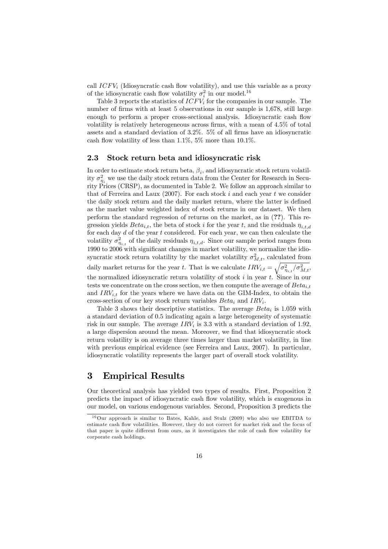call  $ICFV_i$  (Idiosyncratic cash flow volatility), and use this variable as a proxy of the idiosyncratic cash flow volatility  $\sigma_i^2$  in our model.<sup>16</sup>

Table 3 reports the statistics of  $ICFV_i$  for the companies in our sample. The number of firms with at least 5 observations in our sample is 1,678, still large enough to perform a proper cross-sectional analysis. Idiosyncratic cash flow volatility is relatively heterogeneous across firms, with a mean of 4.5% of total assets and a standard deviation of 3.2%. 5% of all firms have an idiosyncratic cash flow volatility of less than 1.1%,  $5\%$  more than 10.1%.

#### 2.3 Stock return beta and idiosyncratic risk

In order to estimate stock return beta,  $\beta_i$ , and idiosyncratic stock return volatility  $\sigma_{\eta_i}^2$  we use the daily stock return data from the Center for Research in Security Prices (CRSP), as documented in Table 2. We follow an approach similar to that of Ferreira and Laux (2007). For each stock  $i$  and each year  $t$  we consider the daily stock return and the daily market return, where the latter is defined as the market value weighted index of stock returns in our dataset. We then perform the standard regression of returns on the market, as in (??). This regression yields  $Beta_{i,t}$ , the beta of stock *i* for the year t, and the residuals  $\eta_{i,t,d}$ for each day  $d$  of the year  $t$  considered. For each year, we can then calculate the volatility  $\sigma_{\eta_{i,t}}^2$  of the daily residuals  $\eta_{i,t,d}$ . Since our sample period ranges from 1990 to 2006 with significant changes in market volatility, we normalize the idiosyncratic stock return volatility by the market volatility  $\sigma_{M,t}^2$ , calculated from daily market returns for the year t. That is we calculate  $IRV_{i,t} = \sqrt{\sigma_{\eta_{i,t}}^2/\sigma_{M,t}^2}$ , the normalized idiosyncratic return volatility of stock  $i$  in year  $t$ . Since in our tests we concentrate on the cross section, we then compute the average of  $Beta_{i,t}$ and  $IRV_{i,t}$  for the years where we have data on the GIM-Index, to obtain the cross-section of our key stock return variables  $Beta_i$  and  $IRV_i$ .

Table 3 shows their descriptive statistics. The average  $Beta_i$  is 1.059 with a standard deviation of 0.5 indicating again a large heterogeneity of systematic risk in our sample. The average  $IRV_i$  is 3.3 with a standard deviation of 1.92, a large dispersion around the mean. Moreover, we find that idiosyncratic stock return volatility is on average three times larger than market volatility, in line with previous empirical evidence (see Ferreira and Laux, 2007). In particular, idiosyncratic volatility represents the larger part of overall stock volatility.

# 3 Empirical Results

Our theoretical analysis has yielded two types of results. First, Proposition 2 predicts the impact of idiosyncratic cash flow volatility, which is exogenous in our model, on various endogenous variables. Second, Proposition 3 predicts the

 $16$ Our approach is similar to Bates. Kahle, and Stulz (2009) who also use EBITDA to estimate cash flow volatilities. However, they do not correct for market risk and the focus of that paper is quite different from ours, as it investigates the role of cash flow volatility for corporate cash holdings.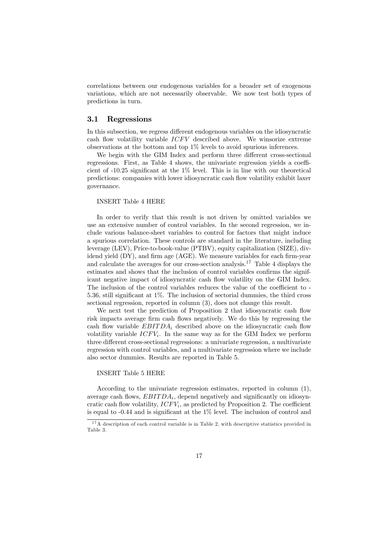correlations between our endogenous variables for a broader set of exogenous variations, which are not necessarily observable. We now test both types of predictions in turn.

### 3.1 Regressions

In this subsection, we regress different endogenous variables on the idiosyncratic cash flow volatility variable  $ICFV$  described above. We winsorize extreme observations at the bottom and top 1% levels to avoid spurious inferences.

We begin with the GIM Index and perform three different cross-sectional regressions. First, as Table 4 shows, the univariate regression yields a coefficient of -10.25 significant at the 1% level. This is in line with our theoretical predictions: companies with lower idiosyncratic cash flow volatility exhibit laxer governance.

#### INSERT Table 4 HERE

In order to verify that this result is not driven by omitted variables we use an extensive number of control variables. In the second regression, we include various balance-sheet variables to control for factors that might induce a spurious correlation. These controls are standard in the literature, including leverage (LEV), Price-to-book-value (PTBV), equity capitalization (SIZE), dividend yield (DY), and firm age (AGE). We measure variables for each firm-year and calculate the averages for our cross-section analysis.<sup>17</sup> Table 4 displays the estimates and shows that the inclusion of control variables confirms the significant negative impact of idiosyncratic cash flow volatility on the GIM Index. The inclusion of the control variables reduces the value of the coefficient to - 5.36, still significant at 1%. The inclusion of sectorial dummies, the third cross sectional regression, reported in column (3), does not change this result.

We next test the prediction of Proposition 2 that idiosyncratic cash flow risk impacts average firm cash flows negatively. We do this by regressing the cash flow variable  $EBITDA_i$  described above on the idiosyncratic cash flow volatility variable  $ICFV_i$ . In the same way as for the GIM Index we perform three different cross-sectional regressions: a univariate regression, a multivariate regression with control variables, and a multivariate regression where we include also sector dummies. Results are reported in Table 5.

#### INSERT Table 5 HERE

According to the univariate regression estimates, reported in column (1), average cash flows,  $EBITDA_i$ , depend negatively and significantly on idiosyncratic cash flow volatility,  $ICFV_i$ , as predicted by Proposition 2. The coefficient is equal to -0.44 and is significant at the 1% level. The inclusion of control and

 $17A$  description of each control variable is in Table 2, with descriptive statistics provided in Table 3.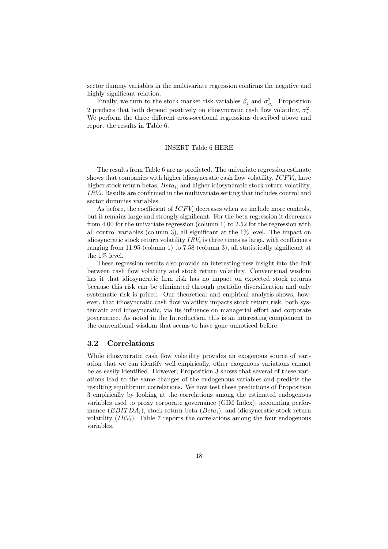sector dummy variables in the multivariate regression confirms the negative and highly significant relation.

Finally, we turn to the stock market risk variables  $\beta_i$  and  $\sigma_{\eta_i}^2$ . Proposition 2 predicts that both depend positively on idiosyncratic cash flow volatility,  $\sigma_i^2$ . We perform the three different cross-sectional regressions described above and report the results in Table 6.

#### INSERT Table 6 HERE

The results from Table 6 are as predicted. The univariate regression estimate shows that companies with higher idiosyncratic cash flow volatility,  $\textit{ICFV}_i$ , have higher stock return betas,  $Beta_i$ , and higher idiosyncratic stock return volatility,  $IRV_i$ . Results are confirmed in the multivariate setting that includes control and sector dummies variables.

As before, the coefficient of  $ICFV_i$  decreases when we include more controls. but it remains large and strongly significant. For the beta regression it decreases from 4.00 for the univariate regression (column 1) to 2.52 for the regression with all control variables (column 3), all significant at the  $1\%$  level. The impact on idiosyncratic stock return volatility  $IRV<sub>i</sub>$  is three times as large, with coefficients ranging from 11.95 (column 1) to 7.58 (column 3), all statistically significant at the 1% level.

These regression results also provide an interesting new insight into the link between cash flow volatility and stock return volatility. Conventional wisdom has it that idiosyncratic firm risk has no impact on expected stock returns because this risk can be eliminated through portfolio diversification and only systematic risk is priced. Our theoretical and empirical analysis shows, however, that idiosyncratic cash flow volatility impacts stock return risk, both systematic and idiosyncratic, via its influence on managerial effort and corporate governance. As noted in the Introduction, this is an interesting complement to the conventional wisdom that seems to have gone unnoticed before.

### 3.2 Correlations

While idiosyncratic cash flow volatility provides an exogenous source of variation that we can identify well empirically, other exogenous variations cannot be as easily identified. However, Proposition 3 shows that several of these variations lead to the same changes of the endogenous variables and predicts the resulting equilibrium correlations. We now test these predictions of Proposition 3 empirically by looking at the correlations among the estimated endogenous variables used to proxy corporate governance (GIM Index), accounting performance  $(EBITDA<sub>i</sub>)$ , stock return beta  $(Beta<sub>i</sub>)$ , and idiosyncratic stock return volatility  $(IRV_i)$ . Table 7 reports the correlations among the four endogenous variables.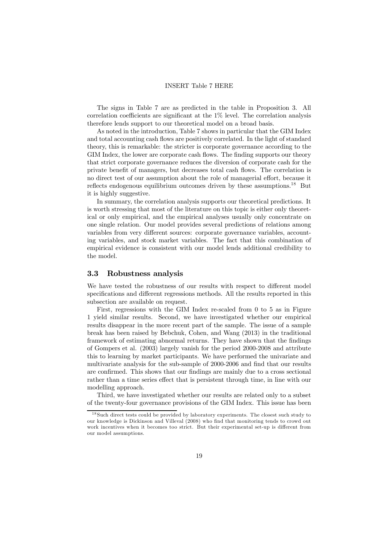#### INSERT Table 7 HERE

The signs in Table 7 are as predicted in the table in Proposition 3. All correlation coefficients are significant at the 1% level. The correlation analysis therefore lends support to our theoretical model on a broad basis.

As noted in the introduction, Table 7 shows in particular that the GIM Index and total accounting cash flows are positively correlated. In the light of standard theory, this is remarkable: the stricter is corporate governance according to the GIM Index, the lower are corporate cash flows. The finding supports our theory that strict corporate governance reduces the diversion of corporate cash for the private benefit of managers, but decreases total cash flows. The correlation is no direct test of our assumption about the role of managerial effort, because it reflects endogenous equilibrium outcomes driven by these assumptions.<sup>18</sup> But it is highly suggestive.

In summary, the correlation analysis supports our theoretical predictions. It is worth stressing that most of the literature on this topic is either only theoretical or only empirical, and the empirical analyses usually only concentrate on one single relation. Our model provides several predictions of relations among variables from very different sources: corporate governance variables, accounting variables, and stock market variables. The fact that this combination of empirical evidence is consistent with our model lends additional credibility to the model.

### 3.3 Robustness analysis

We have tested the robustness of our results with respect to different model specifications and different regressions methods. All the results reported in this subsection are available on request.

First, regressions with the GIM Index re-scaled from 0 to 5 as in Figure 1 yield similar results. Second, we have investigated whether our empirical results disappear in the more recent part of the sample. The issue of a sample break has been raised by Bebchuk, Cohen, and Wang (2013) in the traditional framework of estimating abnormal returns. They have shown that the findings of Gompers et al. (2003) largely vanish for the period 2000-2008 and attribute this to learning by market participants. We have performed the univariate and multivariate analysis for the sub-sample of 2000-2006 and find that our results are confirmed. This shows that our findings are mainly due to a cross sectional rather than a time series effect that is persistent through time, in line with our modelling approach.

Third, we have investigated whether our results are related only to a subset of the twenty-four governance provisions of the GIM Index. This issue has been

 $18$  Such direct tests could be provided by laboratory experiments. The closest such study to our knowledge is Dickinson and Villeval (2008) who find that monitoring tends to crowd out work incentives when it becomes too strict. But their experimental set-up is different from our model assumptions.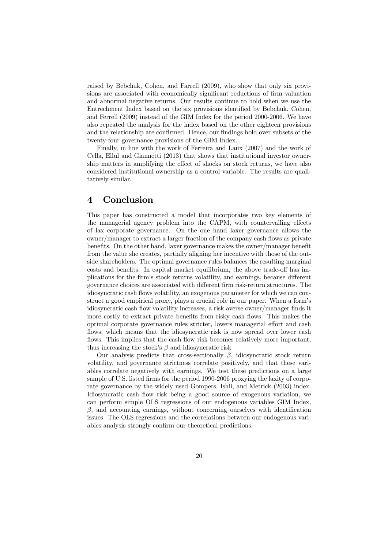raised by Bebchuk, Cohen, and Farrell (2009), who show that only six provisions are associated with economically significant reductions of firm valuation and abnormal negative returns. Our results continue to hold when we use the Entrechment Index based on the six provisions identified by Bebchuk, Cohen, and Ferrell (2009) instead of the GIM Index for the period 2000-2006. We have also repeated the analysis for the index based on the other eighteen provisions and the relationship are confirmed. Hence, our findings hold over subsets of the twenty-four governance provisions of the GIM Index.

Finally, in line with the work of Ferreira and Laux (2007) and the work of Cella, Ellul and Giannetti (2013) that shows that institutional investor ownership matters in amplifying the effect of shocks on stock returns, we have also considered institutional ownership as a control variable. The results are qualitatively similar.

# 4 Conclusion

This paper has constructed a model that incorporates two key elements of the managerial agency problem into the CAPM, with countervailing effects of lax corporate governance. On the one hand laxer governance allows the owner/manager to extract a larger fraction of the company cash flows as private benefits. On the other hand, laxer governance makes the owner/manager benefit from the value she creates, partially aligning her incentive with those of the outside shareholders. The optimal governance rules balances the resulting marginal costs and benefits. In capital market equilibrium, the above trade-off has implications for the firm's stock returns volatility, and earnings, because different governance choices are associated with different firm risk-return structures. The idiosyncratic cash flows volatility, an exogenous parameter for which we can construct a good empirical proxy, plays a crucial role in our paper. When a form's idiosyncratic cash flow volatility increases, a risk averse owner/manager finds it more costly to extract private benefits from risky cash flows. This makes the optimal corporate governance rules stricter, lowers managerial effort and cash flows, which means that the idiosyncratic risk is now spread over lower cash flows. This implies that the cash flow risk becomes relatively more important, thus increasing the stock's  $\beta$  and idiosyncratic risk

Our analysis predicts that cross-sectionally  $\beta$ , idiosyncratic stock return volatility, and governance strictness correlate positively, and that these variables correlate negatively with earnings. We test these predictions on a large sample of U.S. listed firms for the period 1990-2006 proxying the laxity of corporate governance by the widely used Gompers, Ishii, and Metrick (2003) index. Idiosyncratic cash flow risk being a good source of exogenous variation, we can perform simple OLS regressions of our endogenous variables GIM Index,  $\beta$ , and accounting earnings, without concerning ourselves with identification issues. The OLS regressions and the correlations between our endogenous variables analysis strongly confirm our theoretical predictions.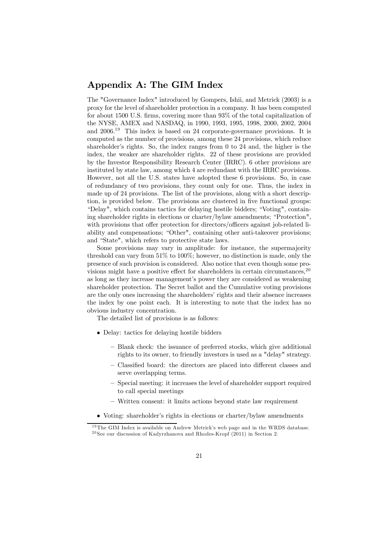# Appendix A: The GIM Index

The "Governance Index" introduced by Gompers, Ishii, and Metrick (2003) is a proxy for the level of shareholder protection in a company. It has been computed for about 1500 U.S. firms, covering more than 93% of the total capitalization of the NYSE, AMEX and NASDAQ, in 1990, 1993, 1995, 1998, 2000, 2002, 2004 and 2006.19 This index is based on 24 corporate-governance provisions. It is computed as the number of provisions, among these 24 provisions, which reduce shareholder's rights. So, the index ranges from 0 to 24 and, the higher is the index, the weaker are shareholder rights. 22 of these provisions are provided by the Investor Responsibility Research Center (IRRC). 6 other provisions are instituted by state law, among which 4 are redundant with the IRRC provisions. However, not all the U.S. states have adopted these 6 provisions. So, in case of redundancy of two provisions, they count only for one. Thus, the index in made up of 24 provisions. The list of the provisions, along with a short description, is provided below. The provisions are clustered in five functional groups: "Delay", which contains tactics for delaying hostile bidders; "Voting", containing shareholder rights in elections or charter/bylaw amendments; "Protection", with provisions that offer protection for directors/officers against job-related liability and compensations; "Other", containing other anti-takeover provisions; and "State", which refers to protective state laws.

Some provisions may vary in amplitude: for instance, the supermajority threshold can vary from 51% to 100%; however, no distinction is made, only the presence of such provision is considered. Also notice that even though some provisions might have a positive effect for shareholders in certain circumstances,  $20$ as long as they increase management's power they are considered as weakening shareholder protection. The Secret ballot and the Cumulative voting provisions are the only ones increasing the shareholders' rights and their absence increases the index by one point each. It is interesting to note that the index has no obvious industry concentration.

The detailed list of provisions is as follows:

- Delay: tactics for delaying hostile bidders
	- Blank check: the issuance of preferred stocks, which give additional rights to its owner, to friendly investors is used as a "delay" strategy.
	- Classified board: the directors are placed into different classes and serve overlapping terms.
	- Special meeting: it increases the level of shareholder support required to call special meetings
	- Written consent: it limits actions beyond state law requirement
- Voting: shareholder's rights in elections or charter/bylaw amendments

 $^{19}{\rm The}$  GIM Index is available on Andrew Metrick's web page and in the WRDS database. <sup>20</sup> See our discussion of Kadyrzhanova and Rhodes-Kropf  $(2011)$  in Section 2.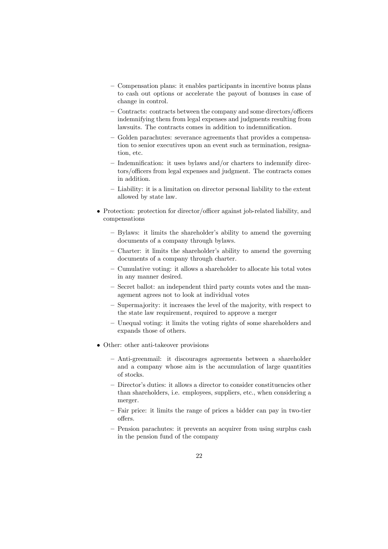- Compensation plans: it enables participants in incentive bonus plans to cash out options or accelerate the payout of bonuses in case of change in control.
- Contracts: contracts between the company and some directors/officers indemnifying them from legal expenses and judgments resulting from lawsuits. The contracts comes in addition to indemnification.
- Golden parachutes: severance agreements that provides a compensation to senior executives upon an event such as termination, resignation, etc.
- Indemnification: it uses bylaws and/or charters to indemnify directors/officers from legal expenses and judgment. The contracts comes in addition.
- Liability: it is a limitation on director personal liability to the extent allowed by state law.
- Protection: protection for director/officer against job-related liability, and compensations
	- Bylaws: it limits the shareholder's ability to amend the governing documents of a company through bylaws.
	- Charter: it limits the shareholder's ability to amend the governing documents of a company through charter.
	- Cumulative voting: it allows a shareholder to allocate his total votes in any manner desired.
	- Secret ballot: an independent third party counts votes and the management agrees not to look at individual votes
	- Supermajority: it increases the level of the majority, with respect to the state law requirement, required to approve a merger
	- Unequal voting: it limits the voting rights of some shareholders and expands those of others.
- Other: other anti-takeover provisions
	- Anti-greenmail: it discourages agreements between a shareholder and a company whose aim is the accumulation of large quantities of stocks.
	- Director's duties: it allows a director to consider constituencies other than shareholders, i.e. employees, suppliers, etc., when considering a merger.
	- Fair price: it limits the range of prices a bidder can pay in two-tier offers.
	- Pension parachutes: it prevents an acquirer from using surplus cash in the pension fund of the company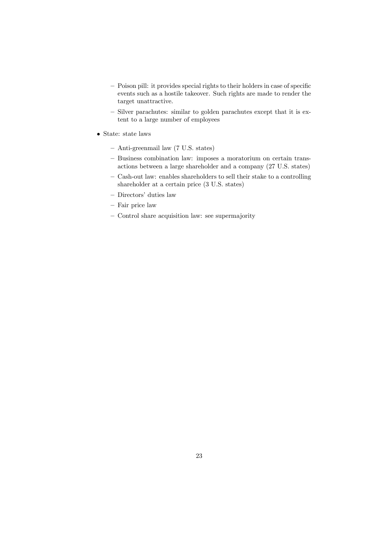- Poison pill: it provides special rights to their holders in case of specific events such as a hostile takeover. Such rights are made to render the target unattractive.
- Silver parachutes: similar to golden parachutes except that it is extent to a large number of employees
- State: state laws
	- Anti-greenmail law (7 U.S. states)
	- Business combination law: imposes a moratorium on certain transactions between a large shareholder and a company (27 U.S. states)
	- Cash-out law: enables shareholders to sell their stake to a controlling shareholder at a certain price (3 U.S. states)
	- Directors' duties law
	- Fair price law
	- Control share acquisition law: see supermajority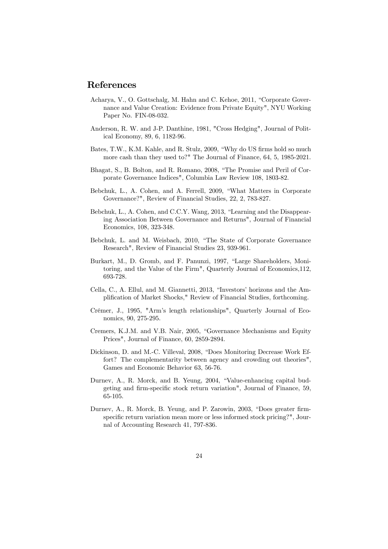# References

- Acharya, V., O. Gottschalg, M. Hahn and C. Kehoe, 2011, "Corporate Governance and Value Creation: Evidence from Private Equity", NYU Working Paper No. FIN-08-032.
- Anderson, R. W. and J-P. Danthine, 1981, "Cross Hedging", Journal of Political Economy, 89, 6, 1182-96.
- Bates, T.W., K.M. Kahle, and R. Stulz, 2009, "Why do US firms hold so much more cash than they used to?" The Journal of Finance, 64, 5, 1985-2021.
- Bhagat, S., B. Bolton, and R. Romano, 2008, "The Promise and Peril of Corporate Governance Indices", Columbia Law Review 108, 1803-82.
- Bebchuk, L., A. Cohen, and A. Ferrell, 2009, "What Matters in Corporate Governance?", Review of Financial Studies, 22, 2, 783-827.
- Bebchuk, L., A. Cohen, and C.C.Y. Wang, 2013, "Learning and the Disappearing Association Between Governance and Returns", Journal of Financial Economics, 108, 323-348.
- Bebchuk, L. and M. Weisbach, 2010, "The State of Corporate Governance Research", Review of Financial Studies 23, 939-961.
- Burkart, M., D. Gromb, and F. Panunzi, 1997, "Large Shareholders, Monitoring, and the Value of the Firm", Quarterly Journal of Economics,112, 693-728.
- Cella, C., A. Ellul, and M. Giannetti, 2013, "Investors' horizons and the Amplification of Market Shocks," Review of Financial Studies, forthcoming.
- Crémer, J., 1995, "Arm's length relationships", Quarterly Journal of Economics, 90, 275-295.
- Cremers, K.J.M. and V.B. Nair, 2005, "Governance Mechanisms and Equity Prices", Journal of Finance, 60, 2859-2894.
- Dickinson, D. and M.-C. Villeval, 2008, "Does Monitoring Decrease Work Effort? The complementarity between agency and crowding out theories", Games and Economic Behavior 63, 56-76.
- Durnev, A., R. Morck, and B. Yeung, 2004, "Value-enhancing capital budgeting and firm-specific stock return variation", Journal of Finance, 59, 65-105.
- Durnev, A., R. Morck, B. Yeung, and P. Zarowin, 2003, "Does greater firmspecific return variation mean more or less informed stock pricing?", Journal of Accounting Research 41, 797-836.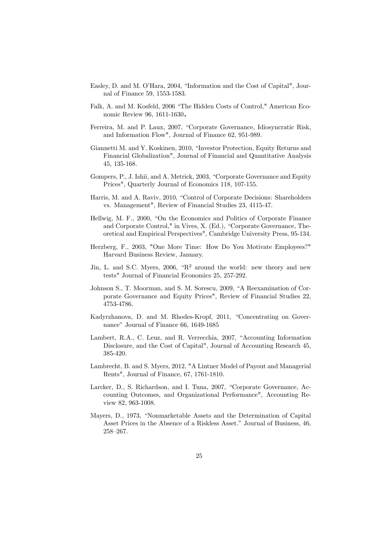- Easley, D. and M. O'Hara, 2004, "Information and the Cost of Capital", Journal of Finance 59, 1553-1583.
- Falk, A. and M. Kosfeld, 2006 "The Hidden Costs of Control," American Economic Review 96, 1611-1630.
- Ferreira, M. and P. Laux, 2007, "Corporate Governance, Idiosyncratic Risk, and Information Flow", Journal of Finance 62, 951-989.
- Giannetti M. and Y. Koskinen, 2010, "Investor Protection, Equity Returns and Financial Globalization", Journal of Financial and Quantitative Analysis 45, 135-168.
- Gompers, P., J. Ishii, and A. Metrick, 2003, "Corporate Governance and Equity Prices", Quarterly Journal of Economics 118, 107-155.
- Harris, M. and A. Raviv, 2010, "Control of Corporate Decisions: Shareholders vs. Management", Review of Financial Studies 23, 4115-47.
- Hellwig, M. F., 2000, "On the Economics and Politics of Corporate Finance and Corporate Control," in Vives, X. (Ed.), "Corporate Governance, Theoretical and Empirical Perspectives", Cambridge University Press, 95-134.
- Herzberg, F., 2003, "One More Time: How Do You Motivate Employees?" Harvard Business Review, January.
- Jin, L. and S.C. Myers,  $2006$ , " $R^2$  around the world: new theory and new tests" Journal of Financial Economics 25, 257-292.
- Johnson S., T. Moorman, and S. M. Sorescu, 2009, "A Reexamination of Corporate Governance and Equity Prices", Review of Financial Studies 22, 4753-4786.
- Kadyrzhanova, D. and M. Rhodes-Kropf, 2011, "Concentrating on Governance" Journal of Finance 66, 1649-1685
- Lambert, R.A., C. Leuz, and R. Verrecchia, 2007, "Accounting Information Disclosure, and the Cost of Capital", Journal of Accounting Research 45, 385-420.
- Lambrecht, B. and S. Myers, 2012, "A Lintner Model of Payout and Managerial Rents", Journal of Finance, 67, 1761-1810.
- Larcker, D., S. Richardson, and I. Tuna, 2007, "Corporate Governance, Accounting Outcomes, and Organizational Performance", Accounting Review 82, 963-1008.
- Mayers, D., 1973, "Nonmarketable Assets and the Determination of Capital Asset Prices in the Absence of a Riskless Asset." Journal of Business, 46, 258—267.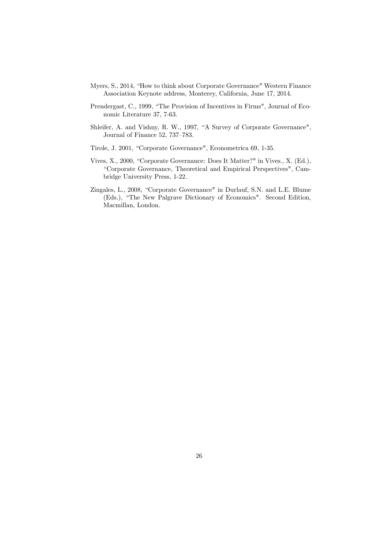- Myers, S., 2014, "How to think about Corporate Governance" Western Finance Association Keynote address, Monterey, California, June 17, 2014.
- Prendergast, C., 1999, "The Provision of Incentives in Firms", Journal of Economic Literature 37, 7-63.
- Shleifer, A. and Vishny, R. W., 1997, "A Survey of Corporate Governance", Journal of Finance 52, 737—783.
- Tirole, J. 2001, "Corporate Governance", Econometrica 69, 1-35.
- Vives, X., 2000, "Corporate Governance: Does It Matter?" in Vives., X. (Ed.), "Corporate Governance, Theoretical and Empirical Perspectives", Cambridge University Press, 1-22.
- Zingales, L., 2008, "Corporate Governance" in Durlauf, S.N. and L.E. Blume (Eds.), "The New Palgrave Dictionary of Economics". Second Edition, Macmillan, London.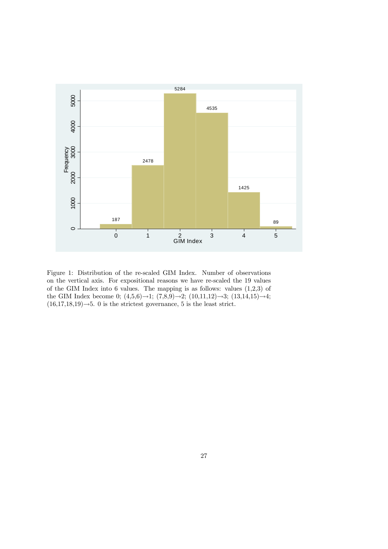

Figure 1: Distribution of the re-scaled GIM Index. Number of observations on the vertical axis. For expositional reasons we have re-scaled the 19 values of the GIM Index into 6 values. The mapping is as follows: values (1,2,3) of the GIM Index become 0;  $(4,5,6) \rightarrow 1$ ;  $(7,8,9) \rightarrow 2$ ;  $(10,11,12) \rightarrow 3$ ;  $(13,14,15) \rightarrow 4$ ;  $(16,17,18,19) \rightarrow 5.0$  is the strictest governance, 5 is the least strict.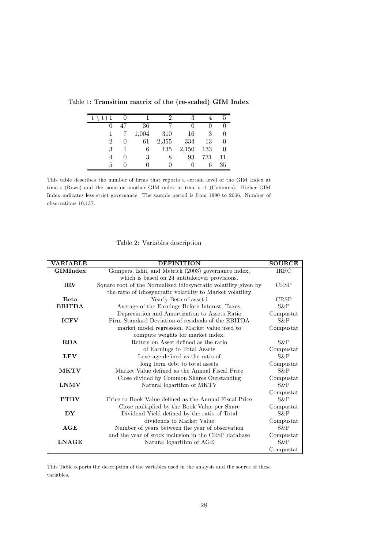| t                |          |       | റ     | 3     |     | 5      |
|------------------|----------|-------|-------|-------|-----|--------|
| $\left( \right)$ | 47       | 36    |       |       |     |        |
|                  |          | 1,004 | 310   | 16    | 3   |        |
| 2                | $\theta$ | 61    | 2,355 | 334   | 13  | $\Box$ |
| 3                |          | 6     | 135   | 2,150 | 133 |        |
|                  |          | 3     |       | 93    | 731 | 11     |
| 5                |          |       |       | 0     |     | 35     |

Table 1: Transition matrix of the (re-scaled) GIM Index

This table describes the number of firms that reports a certain level of the GIM Index at time t (Rows) and the same or another GIM index at time t+1 (Columns). Higher GIM Index indicates less strict governance. The sample period is from 1990 to 2006. Number of observations 10,137.

| <b>VARIABLE</b> | <b>DEFINITION</b>                                               | <b>SOURCE</b> |
|-----------------|-----------------------------------------------------------------|---------------|
| <b>GIMIndex</b> | Gompers, Ishii, and Metrick (2003) governance index,            | <b>IRRC</b>   |
|                 | which is based on 24 antitakeover provisions.                   |               |
| <b>IRV</b>      | Square root of the Normalized idiosyncratic volatility given by | <b>CRSP</b>   |
|                 | the ratio of Idiosyncratic volatility to Market volatility      |               |
| <b>Beta</b>     | Yearly Beta of asset i                                          | <b>CRSP</b>   |
| <b>EBITDA</b>   | Average of the Earnings Before Interest, Taxes,                 | $S\&P$        |
|                 | Depreciation and Amortization to Assets Ratio                   | Compustat     |
| <b>ICFV</b>     | Firm Standard Deviation of residuals of the EBITDA              | $S\&P$        |
|                 | market model regression. Market value used to                   | Compustat     |
|                 | compute weights for market index.                               |               |
| <b>ROA</b>      | Return on Asset defined as the ratio                            | $S\&P$        |
|                 | of Earnings to Total Assets                                     | Compustat     |
| <b>LEV</b>      | Leverage defined as the ratio of                                | $S\&P$        |
|                 | long term debt to total assets                                  | Compustat     |
| <b>MKTV</b>     | Market Value defined as the Annual Fiscal Price                 | $S\&P$        |
|                 | Close divided by Common Shares Outstanding                      | Compustat     |
| <b>LNMV</b>     | Natural logarithm of MKTV                                       | $S\&P$        |
|                 |                                                                 | Compustat     |
| <b>PTBV</b>     | Price to Book Value defined as the Annual Fiscal Price          | $S\&P$        |
|                 | Close multiplied by the Book Value per Share                    | Compustat     |
| DY              | Dividend Yield defined by the ratio of Total                    | $S\&P$        |
|                 | dividends to Market Value                                       | Compustat     |
| AGE             | Number of years between the year of observation                 | $S\&P$        |
|                 | and the year of stock inclusion in the CRSP database            | Compustat     |
| <b>LNAGE</b>    | Natural logarithm of AGE                                        | $S\&P$        |
|                 |                                                                 | Compustat     |

This Table reports the description of the variables used in the analysis and the source of these variables.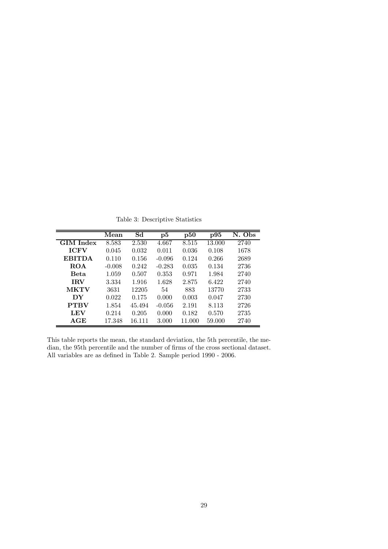|                  | Mean     | S <sub>d</sub> | $\mathbf{p}5$ | p50    | p95    | N. Obs |
|------------------|----------|----------------|---------------|--------|--------|--------|
| <b>GIM</b> Index | 8.583    | 2.530          | 4.667         | 8.515  | 13.000 | 2740   |
| <b>ICFV</b>      | 0.045    | 0.032          | 0.011         | 0.036  | 0.108  | 1678   |
| <b>EBITDA</b>    | 0.110    | 0.156          | $-0.096$      | 0.124  | 0.266  | 2689   |
| <b>ROA</b>       | $-0.008$ | 0.242          | $-0.283$      | 0.035  | 0.134  | 2736   |
| Beta             | 1.059    | 0.507          | 0.353         | 0.971  | 1.984  | 2740   |
| <b>IRV</b>       | 3.334    | 1.916          | 1.628         | 2.875  | 6.422  | 2740   |
| <b>MKTV</b>      | 3631     | 12205          | 54            | 883    | 13770  | 2733   |
| DY               | 0.022    | 0.175          | 0.000         | 0.003  | 0.047  | 2730   |
| <b>PTBV</b>      | 1.854    | 45.494         | $-0.056$      | 2.191  | 8.113  | 2726   |
| LEV              | 0.214    | 0.205          | 0.000         | 0.182  | 0.570  | 2735   |
| AGE              | 17.348   | 16.111         | 3.000         | 11.000 | 59.000 | 2740   |

Table 3: Descriptive Statistics

This table reports the mean, the standard deviation, the 5th percentile, the median, the 95th percentile and the number of firms of the cross sectional dataset. All variables are as defined in Table 2. Sample period 1990 - 2006.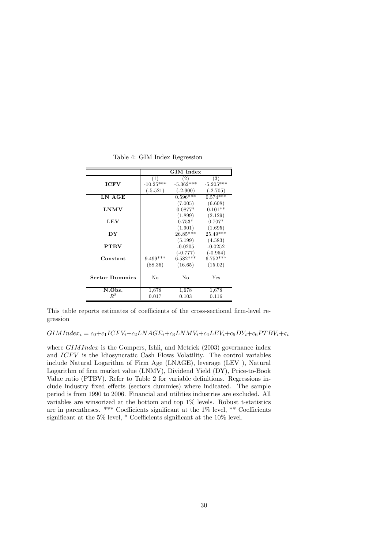|                       |             | <b>GIM</b> Index       |             |
|-----------------------|-------------|------------------------|-------------|
|                       | (1)         | (2)                    | (3)         |
| <b>ICFV</b>           | $-10.25***$ | $-5.362***$            | $-5.205***$ |
|                       | $(-5.521)$  | $(-2.900)$             | $(-2.705)$  |
| LN AGE                |             | $0.596***$             | $0.574***$  |
|                       |             | (7.005)                | (6.608)     |
| <b>LNMV</b>           |             | $0.0877*$              | $0.101**$   |
|                       |             | (1.899)                | (2.129)     |
| <b>LEV</b>            |             | $0.753*$               | $0.707*$    |
|                       |             | (1.901)                | (1.695)     |
| DY                    |             | $26.85***$             | $25.49***$  |
|                       |             | (5.199)                | (4.583)     |
| <b>PTBV</b>           |             | $-0.0205$              | $-0.0252$   |
|                       |             | $(-0.777)$             | $(-0.954)$  |
| Constant              | 9.499***    | $6.582***$             | $6.752***$  |
|                       | (88.36)     | (16.65)                | (15.02)     |
|                       |             |                        |             |
| <b>Sector Dummies</b> | No          | $\overline{\text{No}}$ | Yes         |
|                       |             |                        |             |
| N.Obs.                | 1,678       | 1,678                  | 1,678       |
| $R^2$                 | 0.017       | 0.103                  | 0.116       |

Table 4: GIM Index Regression

This table reports estimates of coefficients of the cross-sectional firm-level regression

 $GIMIndex_i = c_0 + c_1ICFV_i + c_2LNAGE_i + c_3LNMV_i + c_4LEV_i + c_5DY_i + c_6PTBV_i + c_6YTAV_i + c_7TVTAV_i + c_8TVTAV_i + c_9TVTAV_i + c_9TVTAV_i + c_9TVTAV_i + c_9TVTAV_i + c_9TVTAV_i + c_9TVTAV_i + c_9TVTAV_i + c_9TVTAV_i + c_9TVTAV_i + c_9TVTAV_i + c_9TVTAV_i + c_9TVTAV_i + c_9TVTAV_i + c_9TVTAV_i + c_9TVTAV_i + c_9TVTAV_i + c_9TVTAV_i + c_9TVTAV_i + c_$ 

where  $GIMIndex$  is the Gompers, Ishii, and Metrick (2003) governance index and  $ICFV$  is the Idiosyncratic Cash Flows Volatility. The control variables include Natural Logarithm of Firm Age (LNAGE), leverage (LEV ), Natural Logarithm of firm market value (LNMV), Dividend Yield (DY), Price-to-Book Value ratio (PTBV). Refer to Table 2 for variable definitions. Regressions include industry fixed effects (sectors dummies) where indicated. The sample period is from 1990 to 2006. Financial and utilities industries are excluded. All variables are winsorized at the bottom and top 1% levels. Robust t-statistics are in parentheses. \*\*\* Coefficients significant at the 1% level, \*\* Coefficients significant at the 5% level, \* Coefficients significant at the 10% level.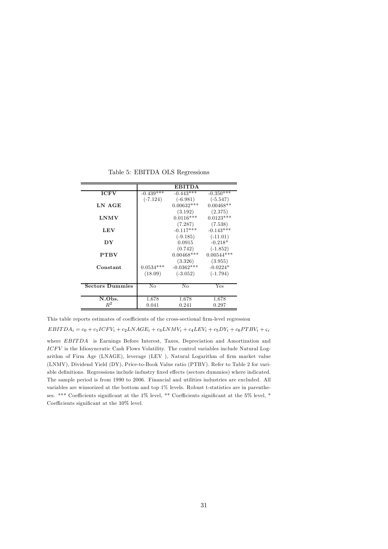|                        |             | <b>EBITDA</b> |              |
|------------------------|-------------|---------------|--------------|
| <b>ICFV</b>            | $-0.439***$ | $-0.443***$   | $-0.350***$  |
|                        | $(-7.124)$  | $(-6.981)$    | $(-5.547)$   |
| LN AGE                 |             | $0.00632***$  | $0.00468**$  |
|                        |             | (3.192)       | (2.375)      |
| <b>LNMV</b>            |             | $0.0116***$   | $0.0123***$  |
|                        |             | (7.287)       | (7.538)      |
| LEV                    |             | $-0.117***$   | $-0.143***$  |
|                        |             | $(-9.185)$    | $(-11.01)$   |
| DY                     |             | 0.0915        | $-0.218*$    |
|                        |             | (0.742)       | $(-1.852)$   |
| <b>PTBV</b>            |             | $0.00468***$  | $0.00544***$ |
|                        |             | (3.326)       | (3.955)      |
| Constant               | $0.0534***$ | $-0.0362***$  | $-0.0224*$   |
|                        | (18.09)     | $(-3.052)$    | $(-1.794)$   |
|                        |             |               |              |
| <b>Sectors Dummies</b> | No          | No            | Yes          |
|                        |             |               |              |
| N.Obs.                 | 1,678       | 1,678         | 1,678        |
| $R^2$                  | 0.041       | 0.241         | 0.297        |

Table 5: EBITDA OLS Regressions

This table reports estimates of coefficients of the cross-sectional firm-level regression  $EBITDA_i = c_0 + c_1ICFV_i + c_2LNAGE_i + c_3LNMV_i + c_4LEV_i + c_5DY_i + c_6PTBV_i + c_i$ 

where EBITDA is Earnings Before Interest, Taxes, Depreciation and Amortization and  $ICFV$  is the Idiosyncratic Cash Flows Volatility. The control variables include Natural Logarithm of Firm Age (LNAGE), leverage (LEV ), Natural Logarithm of firm market value (LNMV), Dividend Yield (DY), Price-to-Book Value ratio (PTBV). Refer to Table 2 for variable definitions. Regressions include industry fixed effects (sectors dummies) where indicated. The sample period is from 1990 to 2006. Financial and utilities industries are excluded. All variables are winsorized at the bottom and top 1% levels. Robust t-statistics are in parentheses. \*\*\* Coefficients significant at the 1% level, \*\* Coefficients significant at the 5% level, \* Coefficients significant at the 10% level.